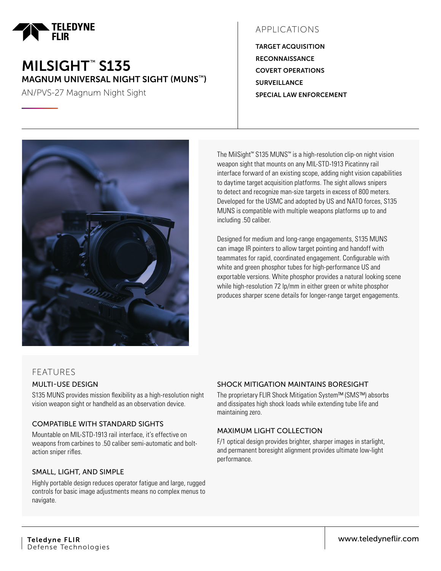

# MILSIGHT™ S135 MAGNUM UNIVERSAL NIGHT SIGHT (MUNS™)

AN/PVS-27 Magnum Night Sight

# APPLICATIONS

TARGET ACQUISITION **RECONNAISSANCE** COVERT OPERATIONS **SURVEILLANCE** SPECIAL LAW ENFORCEMENT



The MilSight™ S135 MUNS™ is a high-resolution clip-on night vision weapon sight that mounts on any MIL-STD-1913 Picatinny rail interface forward of an existing scope, adding night vision capabilities to daytime target acquisition platforms. The sight allows snipers to detect and recognize man-size targets in excess of 800 meters. Developed for the USMC and adopted by US and NATO forces, S135 MUNS is compatible with multiple weapons platforms up to and including .50 caliber.

Designed for medium and long-range engagements, S135 MUNS can image IR pointers to allow target pointing and handoff with teammates for rapid, coordinated engagement. Configurable with white and green phosphor tubes for high-performance US and exportable versions. White phosphor provides a natural looking scene while high-resolution 72 lp/mm in either green or white phosphor produces sharper scene details for longer-range target engagements.

### FEATURES MULTI-USE DESIGN

S135 MUNS provides mission flexibility as a high-resolution night vision weapon sight or handheld as an observation device.

### COMPATIBLE WITH STANDARD SIGHTS

Mountable on MIL-STD-1913 rail interface, it's effective on weapons from carbines to .50 caliber semi-automatic and boltaction sniper rifles.

### SMALL, LIGHT, AND SIMPLE

Highly portable design reduces operator fatigue and large, rugged controls for basic image adjustments means no complex menus to navigate.

#### SHOCK MITIGATION MAINTAINS BORESIGHT

The proprietary FLIR Shock Mitigation System™ (SMS™) absorbs and dissipates high shock loads while extending tube life and maintaining zero.

#### MAXIMUM LIGHT COLLECTION

F/1 optical design provides brighter, sharper images in starlight, and permanent boresight alignment provides ultimate low-light performance.